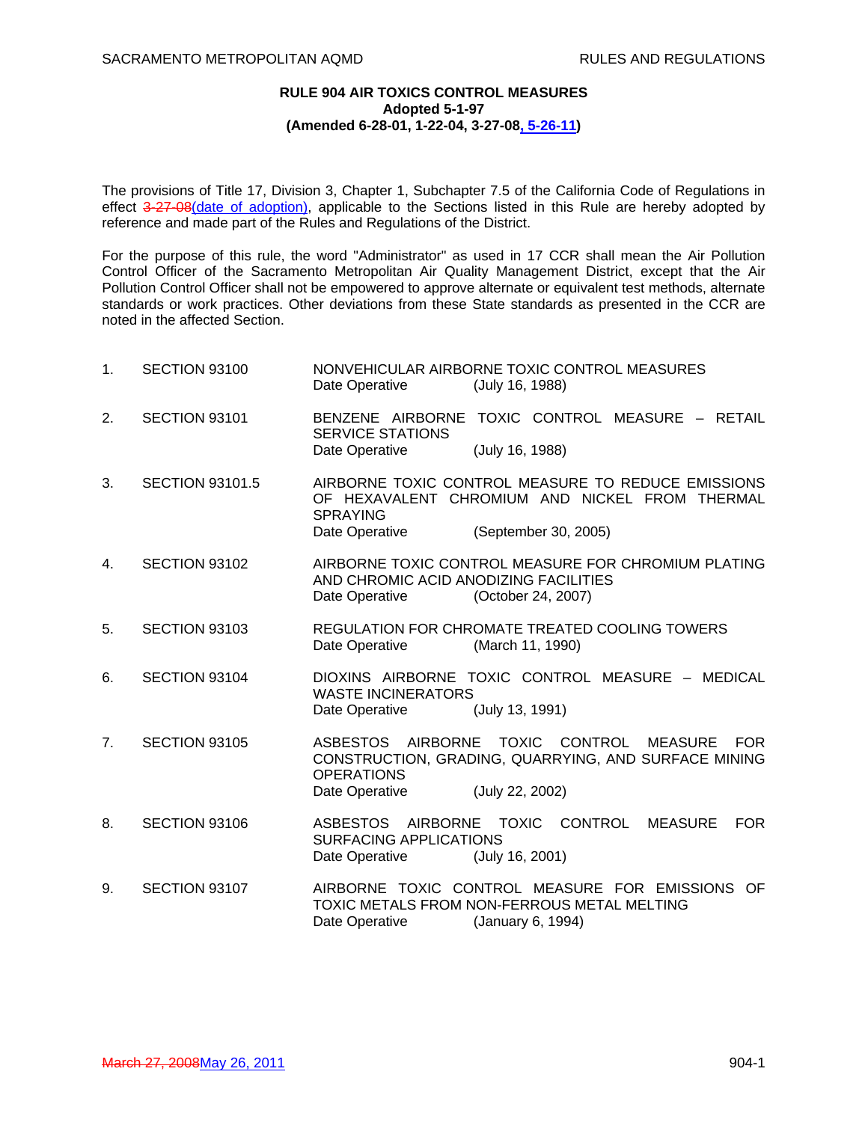## **RULE 904 AIR TOXICS CONTROL MEASURES Adopted 5-1-97 (Amended 6-28-01, 1-22-04, 3-27-08, 5-26-11)**

The provisions of Title 17, Division 3, Chapter 1, Subchapter 7.5 of the California Code of Regulations in effect 3-27-08 (date of adoption), applicable to the Sections listed in this Rule are hereby adopted by reference and made part of the Rules and Regulations of the District.

For the purpose of this rule, the word "Administrator" as used in 17 CCR shall mean the Air Pollution Control Officer of the Sacramento Metropolitan Air Quality Management District, except that the Air Pollution Control Officer shall not be empowered to approve alternate or equivalent test methods, alternate standards or work practices. Other deviations from these State standards as presented in the CCR are noted in the affected Section.

| 1.             | SECTION 93100          | NONVEHICULAR AIRBORNE TOXIC CONTROL MEASURES<br>(July 16, 1988)<br>Date Operative                                                                                                 |
|----------------|------------------------|-----------------------------------------------------------------------------------------------------------------------------------------------------------------------------------|
| 2.             | SECTION 93101          | TOXIC CONTROL MEASURE - RETAIL<br>BENZENE AIRBORNE<br><b>SERVICE STATIONS</b>                                                                                                     |
|                |                        | (July 16, 1988)<br>Date Operative                                                                                                                                                 |
| 3.             | <b>SECTION 93101.5</b> | AIRBORNE TOXIC CONTROL MEASURE TO REDUCE EMISSIONS<br>OF HEXAVALENT CHROMIUM AND NICKEL FROM THERMAL<br><b>SPRAYING</b>                                                           |
|                |                        | (September 30, 2005)<br>Date Operative                                                                                                                                            |
| 4.             | SECTION 93102          | AIRBORNE TOXIC CONTROL MEASURE FOR CHROMIUM PLATING<br>AND CHROMIC ACID ANODIZING FACILITIES<br>Date Operative<br>(October 24, 2007)                                              |
| 5.             | SECTION 93103          | REGULATION FOR CHROMATE TREATED COOLING TOWERS<br>Date Operative<br>(March 11, 1990)                                                                                              |
| 6.             | SECTION 93104          | DIOXINS AIRBORNE TOXIC CONTROL MEASURE - MEDICAL<br><b>WASTE INCINERATORS</b><br>(July 13, 1991)<br>Date Operative                                                                |
| 7 <sub>1</sub> | SECTION 93105          | ASBESTOS AIRBORNE TOXIC CONTROL<br><b>MEASURE</b><br><b>FOR</b><br>CONSTRUCTION, GRADING, QUARRYING, AND SURFACE MINING<br><b>OPERATIONS</b><br>(July 22, 2002)<br>Date Operative |
| 8.             | SECTION 93106          | AIRBORNE TOXIC<br>CONTROL<br>ASBESTOS<br><b>MEASURE</b><br><b>FOR</b><br><b>SURFACING APPLICATIONS</b><br>(July 16, 2001)<br>Date Operative                                       |
| 9.             | SECTION 93107          | AIRBORNE TOXIC CONTROL MEASURE FOR EMISSIONS OF<br>TOXIC METALS FROM NON-FERROUS METAL MELTING<br>Date Operative<br>(January 6, 1994)                                             |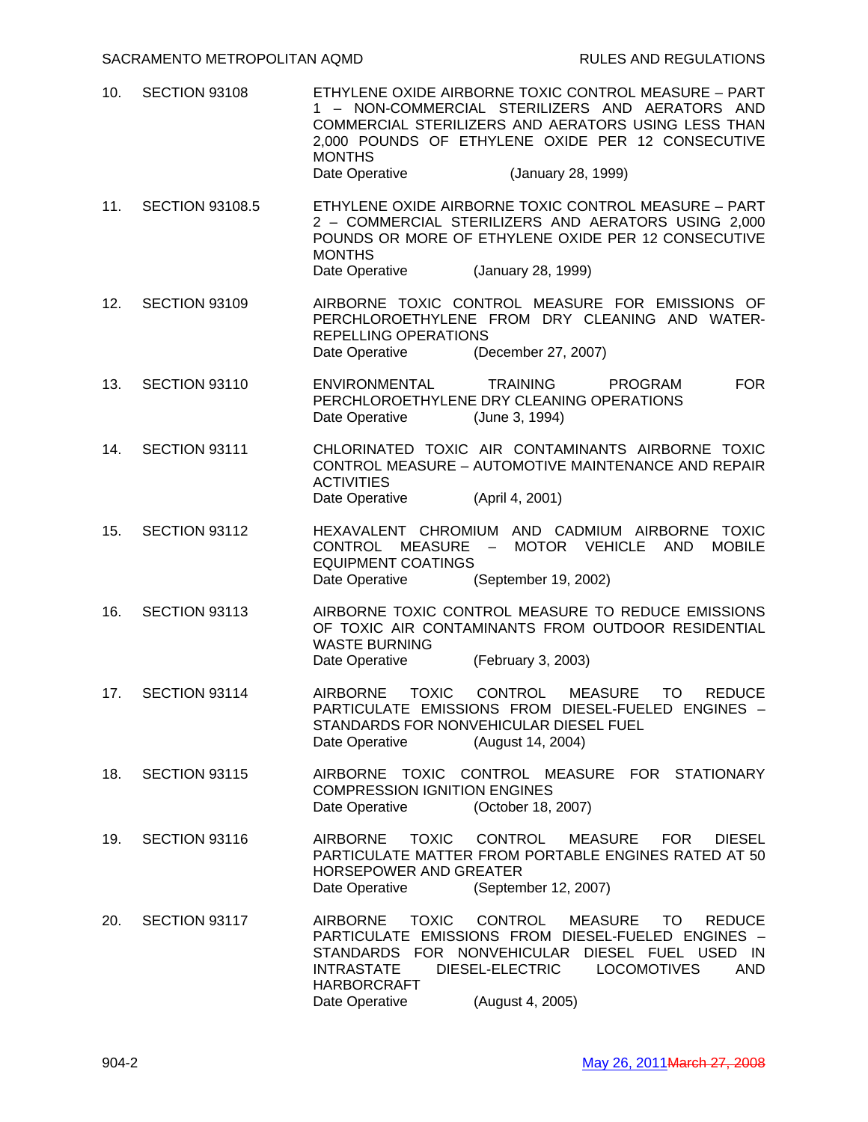- 10. SECTION 93108 ETHYLENE OXIDE AIRBORNE TOXIC CONTROL MEASURE PART 1 – NON-COMMERCIAL STERILIZERS AND AERATORS AND COMMERCIAL STERILIZERS AND AERATORS USING LESS THAN 2,000 POUNDS OF ETHYLENE OXIDE PER 12 CONSECUTIVE MONTHS Date Operative (January 28, 1999)
- 11. SECTION 93108.5 ETHYLENE OXIDE AIRBORNE TOXIC CONTROL MEASURE PART 2 – COMMERCIAL STERILIZERS AND AERATORS USING 2,000 POUNDS OR MORE OF ETHYLENE OXIDE PER 12 CONSECUTIVE MONTHS Date Operative (January 28, 1999)
- 12. SECTION 93109 AIRBORNE TOXIC CONTROL MEASURE FOR EMISSIONS OF PERCHLOROETHYLENE FROM DRY CLEANING AND WATER-REPELLING OPERATIONS Date Operative (December 27, 2007)
- 13. SECTION 93110 ENVIRONMENTAL TRAINING PROGRAM FOR PERCHLOROETHYLENE DRY CLEANING OPERATIONS Date Operative (June 3, 1994)
- 14. SECTION 93111 CHLORINATED TOXIC AIR CONTAMINANTS AIRBORNE TOXIC CONTROL MEASURE – AUTOMOTIVE MAINTENANCE AND REPAIR **ACTIVITIES** Date Operative (April 4, 2001)
- 15. SECTION 93112 HEXAVALENT CHROMIUM AND CADMIUM AIRBORNE TOXIC CONTROL MEASURE – MOTOR VEHICLE AND MOBILE EQUIPMENT COATINGS Date Operative (September 19, 2002)
- 16. SECTION 93113 AIRBORNE TOXIC CONTROL MEASURE TO REDUCE EMISSIONS OF TOXIC AIR CONTAMINANTS FROM OUTDOOR RESIDENTIAL WASTE BURNING Date Operative (February 3, 2003)
- 17. SECTION 93114 AIRBORNE TOXIC CONTROL MEASURE TO REDUCE PARTICULATE EMISSIONS FROM DIESEL-FUELED ENGINES – STANDARDS FOR NONVEHICULAR DIESEL FUEL Date Operative (August 14, 2004)
- 18. SECTION 93115 AIRBORNE TOXIC CONTROL MEASURE FOR STATIONARY COMPRESSION IGNITION ENGINES Date Operative (October 18, 2007)
- 19. SECTION 93116 AIRBORNE TOXIC CONTROL MEASURE FOR DIESEL PARTICULATE MATTER FROM PORTABLE ENGINES RATED AT 50 HORSEPOWER AND GREATER Date Operative (September 12, 2007)
- 20. SECTION 93117 AIRBORNE TOXIC CONTROL MEASURE TO REDUCE PARTICULATE EMISSIONS FROM DIESEL-FUELED ENGINES – STANDARDS FOR NONVEHICULAR DIESEL FUEL USED IN INTRASTATE DIESEL-ELECTRIC LOCOMOTIVES AND HARBORCRAFT Date Operative (August 4, 2005)